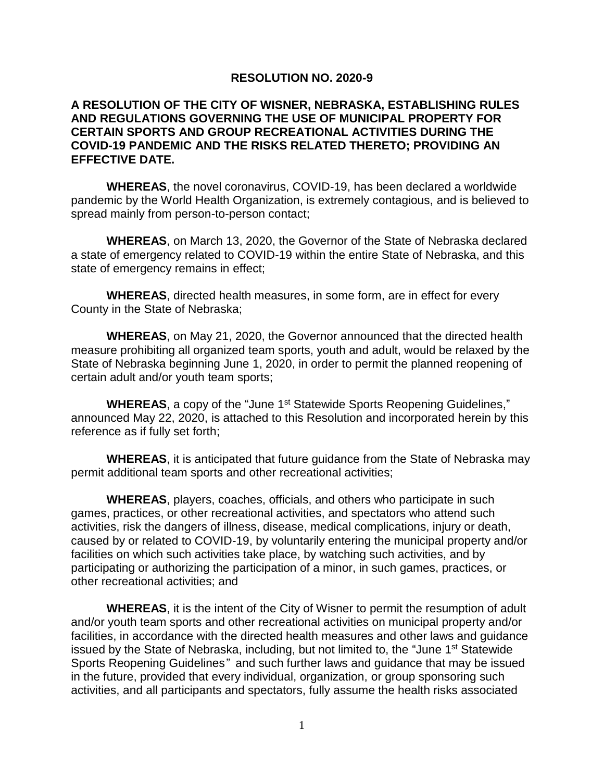## **RESOLUTION NO. 2020-9**

## **A RESOLUTION OF THE CITY OF WISNER, NEBRASKA, ESTABLISHING RULES AND REGULATIONS GOVERNING THE USE OF MUNICIPAL PROPERTY FOR CERTAIN SPORTS AND GROUP RECREATIONAL ACTIVITIES DURING THE COVID-19 PANDEMIC AND THE RISKS RELATED THERETO; PROVIDING AN EFFECTIVE DATE.**

**WHEREAS**, the novel coronavirus, COVID-19, has been declared a worldwide pandemic by the World Health Organization, is extremely contagious, and is believed to spread mainly from person-to-person contact;

**WHEREAS**, on March 13, 2020, the Governor of the State of Nebraska declared a state of emergency related to COVID-19 within the entire State of Nebraska, and this state of emergency remains in effect;

**WHEREAS**, directed health measures, in some form, are in effect for every County in the State of Nebraska;

**WHEREAS**, on May 21, 2020, the Governor announced that the directed health measure prohibiting all organized team sports, youth and adult, would be relaxed by the State of Nebraska beginning June 1, 2020, in order to permit the planned reopening of certain adult and/or youth team sports;

**WHEREAS**, a copy of the "June 1<sup>st</sup> Statewide Sports Reopening Guidelines," announced May 22, 2020, is attached to this Resolution and incorporated herein by this reference as if fully set forth;

**WHEREAS**, it is anticipated that future guidance from the State of Nebraska may permit additional team sports and other recreational activities;

**WHEREAS**, players, coaches, officials, and others who participate in such games, practices, or other recreational activities, and spectators who attend such activities, risk the dangers of illness, disease, medical complications, injury or death, caused by or related to COVID-19, by voluntarily entering the municipal property and/or facilities on which such activities take place, by watching such activities, and by participating or authorizing the participation of a minor, in such games, practices, or other recreational activities; and

**WHEREAS**, it is the intent of the City of Wisner to permit the resumption of adult and/or youth team sports and other recreational activities on municipal property and/or facilities, in accordance with the directed health measures and other laws and guidance issued by the State of Nebraska, including, but not limited to, the "June 1st Statewide Sports Reopening Guidelines*"* and such further laws and guidance that may be issued in the future, provided that every individual, organization, or group sponsoring such activities, and all participants and spectators, fully assume the health risks associated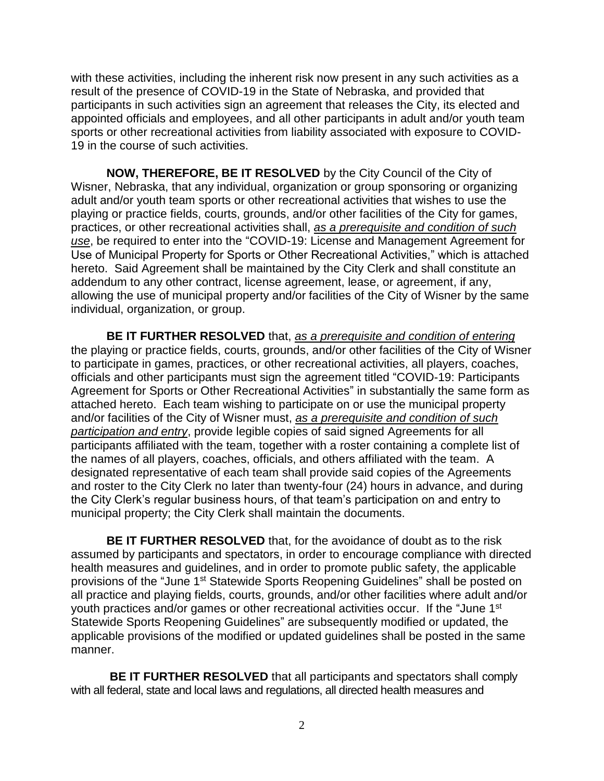with these activities, including the inherent risk now present in any such activities as a result of the presence of COVID-19 in the State of Nebraska, and provided that participants in such activities sign an agreement that releases the City, its elected and appointed officials and employees, and all other participants in adult and/or youth team sports or other recreational activities from liability associated with exposure to COVID-19 in the course of such activities.

**NOW, THEREFORE, BE IT RESOLVED** by the City Council of the City of Wisner, Nebraska, that any individual, organization or group sponsoring or organizing adult and/or youth team sports or other recreational activities that wishes to use the playing or practice fields, courts, grounds, and/or other facilities of the City for games, practices, or other recreational activities shall, *as a prerequisite and condition of such use*, be required to enter into the "COVID-19: License and Management Agreement for Use of Municipal Property for Sports or Other Recreational Activities," which is attached hereto. Said Agreement shall be maintained by the City Clerk and shall constitute an addendum to any other contract, license agreement, lease, or agreement, if any, allowing the use of municipal property and/or facilities of the City of Wisner by the same individual, organization, or group.

**BE IT FURTHER RESOLVED** that, *as a prerequisite and condition of entering* the playing or practice fields, courts, grounds, and/or other facilities of the City of Wisner to participate in games, practices, or other recreational activities, all players, coaches, officials and other participants must sign the agreement titled "COVID-19: Participants Agreement for Sports or Other Recreational Activities" in substantially the same form as attached hereto. Each team wishing to participate on or use the municipal property and/or facilities of the City of Wisner must, *as a prerequisite and condition of such participation and entry*, provide legible copies of said signed Agreements for all participants affiliated with the team, together with a roster containing a complete list of the names of all players, coaches, officials, and others affiliated with the team. A designated representative of each team shall provide said copies of the Agreements and roster to the City Clerk no later than twenty-four (24) hours in advance, and during the City Clerk's regular business hours, of that team's participation on and entry to municipal property; the City Clerk shall maintain the documents.

**BE IT FURTHER RESOLVED** that, for the avoidance of doubt as to the risk assumed by participants and spectators, in order to encourage compliance with directed health measures and guidelines, and in order to promote public safety, the applicable provisions of the "June 1<sup>st</sup> Statewide Sports Reopening Guidelines" shall be posted on all practice and playing fields, courts, grounds, and/or other facilities where adult and/or youth practices and/or games or other recreational activities occur. If the "June 1<sup>st</sup> Statewide Sports Reopening Guidelines" are subsequently modified or updated, the applicable provisions of the modified or updated guidelines shall be posted in the same manner.

**BE IT FURTHER RESOLVED** that all participants and spectators shall comply with all federal, state and local laws and regulations, all directed health measures and